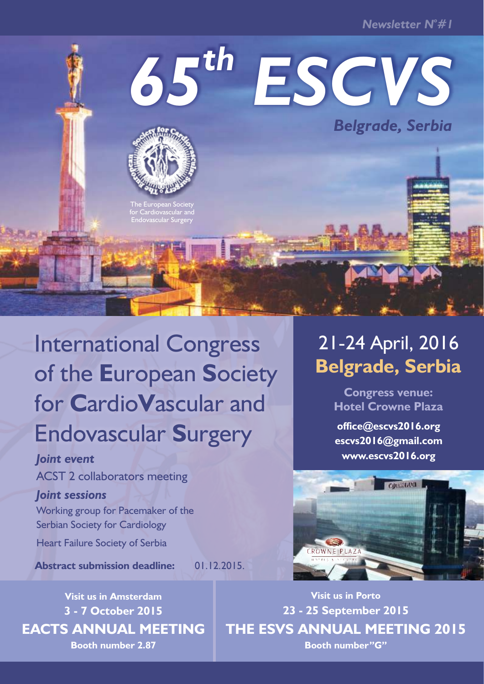*<sup>o</sup> Newsletter N #1*

# *th 65 ESCVS Belgrade, Serbia*



The European Society Endovascular Surgery

# International Congress of the **E**uropean **S**ociety for **C**ardio**V**ascular and Endovascular **S**urgery

### *Joint event*

ACST 2 collaborators meeting

### *Joint sessions*

Working group for Pacemaker of the Serbian Society for Cardiology

Heart Failure Society of Serbia

**Abstract submission deadline:** 01.12.2015.

# 21-24 April, 2016 **Belgrade, Serbia**

**Congress venue: Hotel Crowne Plaza** 

**office@escvs2016.org escvs2016@gmail.com www.escvs2016.org**



**Visit us in Porto 23 - 25 September 2015 THE ESVS ANNUAL MEETING 2015 Booth number"G"**

## **Visit us in Amsterdam 3 - 7 October 2015 EACTS ANNUAL MEETING Booth number 2.87**